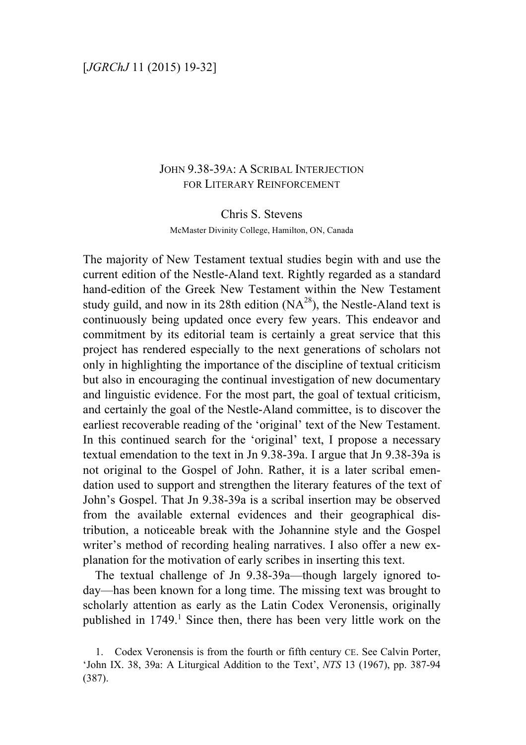# JOHN 9.38-39A: A SCRIBAL INTERJECTION FOR LITERARY REINFORCEMENT

#### Chris S. Stevens

McMaster Divinity College, Hamilton, ON, Canada

The majority of New Testament textual studies begin with and use the current edition of the Nestle-Aland text. Rightly regarded as a standard hand-edition of the Greek New Testament within the New Testament study guild, and now in its 28th edition  $(NA<sup>28</sup>)$ , the Nestle-Aland text is continuously being updated once every few years. This endeavor and commitment by its editorial team is certainly a great service that this project has rendered especially to the next generations of scholars not only in highlighting the importance of the discipline of textual criticism but also in encouraging the continual investigation of new documentary and linguistic evidence. For the most part, the goal of textual criticism, and certainly the goal of the Nestle-Aland committee, is to discover the earliest recoverable reading of the 'original' text of the New Testament. In this continued search for the 'original' text, I propose a necessary textual emendation to the text in Jn 9.38-39a. I argue that Jn 9.38-39a is not original to the Gospel of John. Rather, it is a later scribal emendation used to support and strengthen the literary features of the text of John's Gospel. That Jn 9.38-39a is a scribal insertion may be observed from the available external evidences and their geographical distribution, a noticeable break with the Johannine style and the Gospel writer's method of recording healing narratives. I also offer a new explanation for the motivation of early scribes in inserting this text.

The textual challenge of Jn 9.38-39a—though largely ignored today—has been known for a long time. The missing text was brought to scholarly attention as early as the Latin Codex Veronensis, originally published in 1749. <sup>1</sup> Since then, there has been very little work on the

<sup>1.</sup> Codex Veronensis is from the fourth or fifth century CE. See Calvin Porter, 'John IX. 38, 39a: A Liturgical Addition to the Text', *NTS* 13 (1967), pp. 387-94 (387).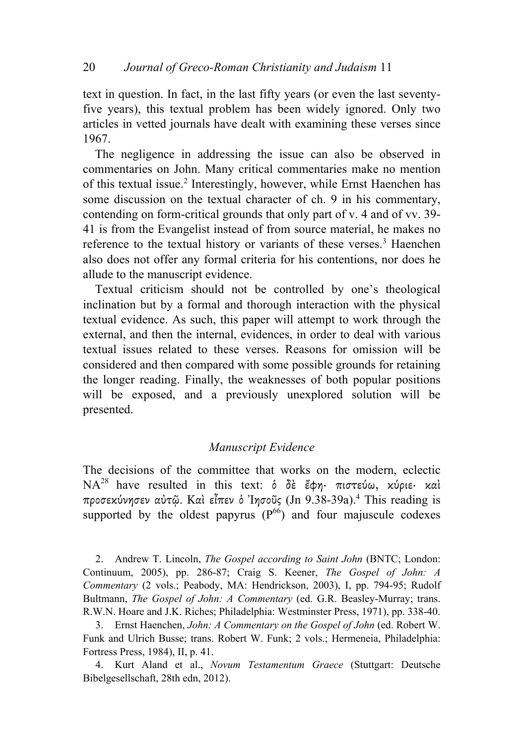text in question. In fact, in the last fifty years (or even the last seventyfive years), this textual problem has been widely ignored. Only two articles in vetted journals have dealt with examining these verses since 1967.

The negligence in addressing the issue can also be observed in commentaries on John. Many critical commentaries make no mention of this textual issue. <sup>2</sup> Interestingly, however, while Ernst Haenchen has some discussion on the textual character of ch. 9 in his commentary, contending on form-critical grounds that only part of v. 4 and of vv. 39- 41 is from the Evangelist instead of from source material, he makes no reference to the textual history or variants of these verses. <sup>3</sup> Haenchen also does not offer any formal criteria for his contentions, nor does he allude to the manuscript evidence.

Textual criticism should not be controlled by one's theological inclination but by a formal and thorough interaction with the physical textual evidence. As such, this paper will attempt to work through the external, and then the internal, evidences, in order to deal with various textual issues related to these verses. Reasons for omission will be considered and then compared with some possible grounds for retaining the longer reading. Finally, the weaknesses of both popular positions will be exposed, and a previously unexplored solution will be presented.

#### *Manuscript Evidence*

The decisions of the committee that works on the modern, eclectic NA<sup>28</sup> have resulted in this text: ὁ δὲ ἔφη· πιστεύω, κύριε· καὶ προσεκύνησεν αὐτῷ. Καὶ εἶπεν ὁ Ἰησοῦς (Jn 9.38-39a). <sup>4</sup> This reading is supported by the oldest papyrus  $(P^{66})$  and four majuscule codexes

2. Andrew T. Lincoln, *The Gospel according to Saint John* (BNTC; London: Continuum, 2005), pp. 286-87; Craig S. Keener, *The Gospel of John: A Commentary* (2 vols.; Peabody, MA: Hendrickson, 2003), I, pp. 794-95; Rudolf Bultmann, *The Gospel of John: A Commentary* (ed. G.R. Beasley-Murray; trans. R.W.N. Hoare and J.K. Riches; Philadelphia: Westminster Press, 1971), pp. 338-40.

3. Ernst Haenchen, *John: A Commentary on the Gospel of John* (ed. Robert W. Funk and Ulrich Busse; trans. Robert W. Funk; 2 vols.; Hermeneia, Philadelphia: Fortress Press, 1984), II, p. 41.

4. Kurt Aland et al., *Novum Testamentum Graece* (Stuttgart: Deutsche Bibelgesellschaft, 28th edn, 2012).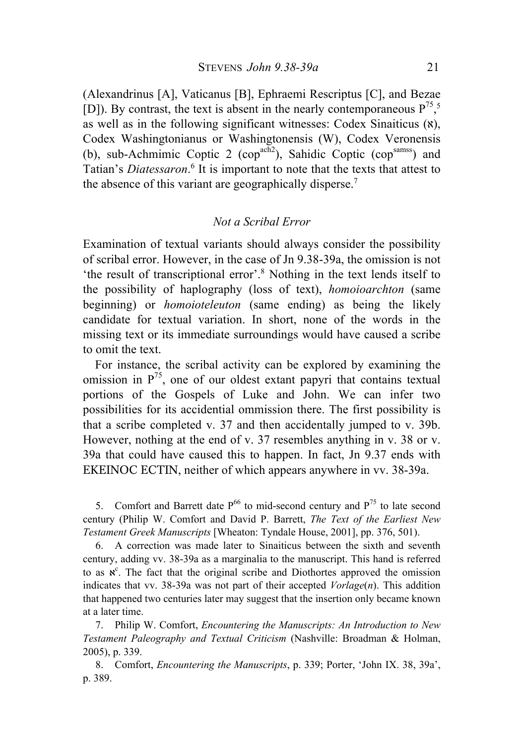(Alexandrinus [A], Vaticanus [B], Ephraemi Rescriptus [C], and Bezae [D]). By contrast, the text is absent in the nearly contemporaneous  $P^{75}$ ,<sup>5</sup>, as well as in the following significant witnesses: Codex Sinaiticus  $(x)$ , Codex Washingtonianus or Washingtonensis (W), Codex Veronensis (b), sub-Achmimic Coptic 2 (cop<sup> $\text{ach2}$ </sup>), Sahidic Coptic (cop<sup>samss</sup>) and Tatian's *Diatessaron*. <sup>6</sup> It is important to note that the texts that attest to the absence of this variant are geographically disperse.<sup>7</sup>

#### *Not a Scribal Error*

Examination of textual variants should always consider the possibility of scribal error. However, in the case of Jn 9.38-39a, the omission is not 'the result of transcriptional error'.8 Nothing in the text lends itself to the possibility of haplography (loss of text), *homoioarchton* (same beginning) or *homoioteleuton* (same ending) as being the likely candidate for textual variation. In short, none of the words in the missing text or its immediate surroundings would have caused a scribe to omit the text.

For instance, the scribal activity can be explored by examining the omission in  $P^{75}$ , one of our oldest extant papyri that contains textual portions of the Gospels of Luke and John. We can infer two possibilities for its accidential ommission there. The first possibility is that a scribe completed v. 37 and then accidentally jumped to v. 39b. However, nothing at the end of v. 37 resembles anything in v. 38 or v. 39a that could have caused this to happen. In fact, Jn 9.37 ends with ΕΚΕΙΝΟϹ ΕϹΤΙΝ, neither of which appears anywhere in vv. 38-39a.

5. Comfort and Barrett date  $P^{66}$  to mid-second century and  $P^{75}$  to late second century (Philip W. Comfort and David P. Barrett, *The Text of the Earliest New Testament Greek Manuscripts* [Wheaton: Tyndale House, 2001], pp. 376, 501).

6. A correction was made later to Sinaiticus between the sixth and seventh century, adding vv. 38-39a as a marginalia to the manuscript. This hand is referred to as  $x^c$ . The fact that the original scribe and Diothortes approved the omission indicates that vv. 38-39a was not part of their accepted *Vorlage*(*n*). This addition that happened two centuries later may suggest that the insertion only became known at a later time.

7. Philip W. Comfort, *Encountering the Manuscripts: An Introduction to New Testament Paleography and Textual Criticism* (Nashville: Broadman & Holman, 2005), p. 339.

8. Comfort, *Encountering the Manuscripts*, p. 339; Porter, 'John IX. 38, 39a', p. 389.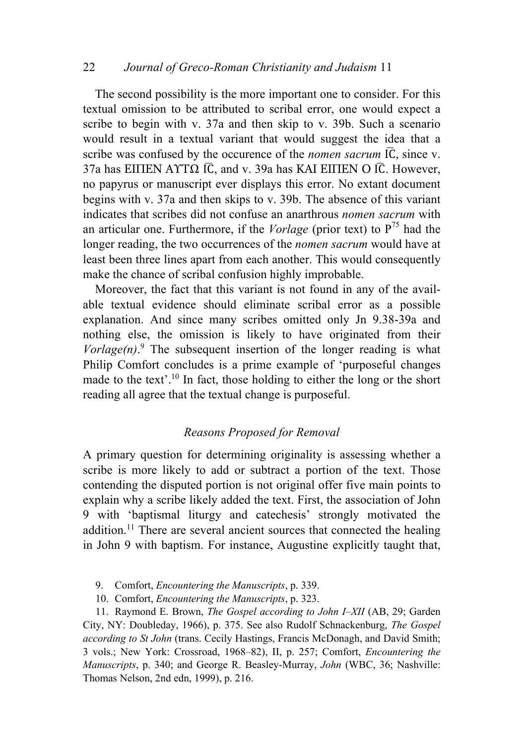# 22 *Journal of Greco-Roman Christianity and Judaism* 11

The second possibility is the more important one to consider. For this textual omission to be attributed to scribal error, one would expect a scribe to begin with v. 37a and then skip to v. 39b. Such a scenario would result in a textual variant that would suggest the idea that a scribe was confused by the occurence of the *nomen sacrum* ΙϹ, since v. 37a has ΕΙΠΕΝ ΑΥΤΩ Ι $\overline{C}$ , and v. 39a has ΚΑΙ ΕΙΠΕΝ Ο Ι $\overline{C}$ . However, no papyrus or manuscript ever displays this error. No extant document begins with v. 37a and then skips to v. 39b. The absence of this variant indicates that scribes did not confuse an anarthrous *nomen sacrum* with an articular one. Furthermore, if the *Vorlage* (prior text) to  $P^{75}$  had the longer reading, the two occurrences of the *nomen sacrum* would have at least been three lines apart from each another. This would consequently make the chance of scribal confusion highly improbable.

Moreover, the fact that this variant is not found in any of the available textual evidence should eliminate scribal error as a possible explanation. And since many scribes omitted only Jn 9.38-39a and nothing else, the omission is likely to have originated from their  $Vorlage(n).$ <sup>9</sup> The subsequent insertion of the longer reading is what Philip Comfort concludes is a prime example of 'purposeful changes made to the text'.<sup>10</sup> In fact, those holding to either the long or the short reading all agree that the textual change is purposeful.

## *Reasons Proposed for Removal*

A primary question for determining originality is assessing whether a scribe is more likely to add or subtract a portion of the text. Those contending the disputed portion is not original offer five main points to explain why a scribe likely added the text. First, the association of John 9 with 'baptismal liturgy and catechesis' strongly motivated the addition.<sup>11</sup> There are several ancient sources that connected the healing in John 9 with baptism. For instance, Augustine explicitly taught that,

- 9. Comfort, *Encountering the Manuscripts*, p. 339.
- 10. Comfort, *Encountering the Manuscripts*, p. 323.

11. Raymond E. Brown, *The Gospel according to John I–XII* (AB, 29; Garden City, NY: Doubleday, 1966), p. 375. See also Rudolf Schnackenburg, *The Gospel according to St John* (trans. Cecily Hastings, Francis McDonagh, and David Smith; 3 vols.; New York: Crossroad, 1968–82), II, p. 257; Comfort, *Encountering the Manuscripts*, p. 340; and George R. Beasley-Murray, *John* (WBC, 36; Nashville: Thomas Nelson, 2nd edn, 1999), p. 216.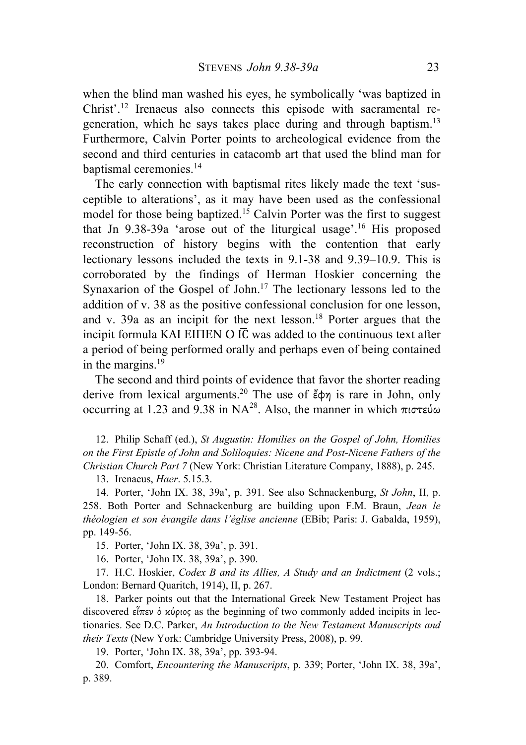when the blind man washed his eyes, he symbolically 'was baptized in Christ'. <sup>12</sup> Irenaeus also connects this episode with sacramental regeneration, which he says takes place during and through baptism.13 Furthermore, Calvin Porter points to archeological evidence from the second and third centuries in catacomb art that used the blind man for baptismal ceremonies.<sup>14</sup>

The early connection with baptismal rites likely made the text 'susceptible to alterations', as it may have been used as the confessional model for those being baptized.15 Calvin Porter was the first to suggest that Jn 9.38-39a 'arose out of the liturgical usage'.16 His proposed reconstruction of history begins with the contention that early lectionary lessons included the texts in 9.1-38 and 9.39–10.9. This is corroborated by the findings of Herman Hoskier concerning the Synaxarion of the Gospel of John.<sup>17</sup> The lectionary lessons led to the addition of v. 38 as the positive confessional conclusion for one lesson, and v. 39a as an incipit for the next lesson.<sup>18</sup> Porter argues that the incipit formula ΚΑΙ ΕΙΠΕΝ Ο Ι $\overline{C}$  was added to the continuous text after a period of being performed orally and perhaps even of being contained in the margins.19

The second and third points of evidence that favor the shorter reading derive from lexical arguments. <sup>20</sup> The use of ἔφη is rare in John, only occurring at 1.23 and 9.38 in NA<sup>28</sup>. Also, the manner in which πιστεύω

12. Philip Schaff (ed.), *St Augustin: Homilies on the Gospel of John, Homilies on the First Epistle of John and Soliloquies: Nicene and Post-Nicene Fathers of the Christian Church Part 7* (New York: Christian Literature Company, 1888), p. 245.

13. Irenaeus, *Haer*. 5.15.3.

14. Porter, 'John IX. 38, 39a', p. 391. See also Schnackenburg, *St John*, II, p. 258. Both Porter and Schnackenburg are building upon F.M. Braun, *Jean le théologien et son évangile dans l'église ancienne* (EBib; Paris: J. Gabalda, 1959), pp. 149-56.

15. Porter, 'John IX. 38, 39a', p. 391.

16. Porter, 'John IX. 38, 39a', p. 390.

17. H.C. Hoskier, *Codex B and its Allies, A Study and an Indictment* (2 vols.; London: Bernard Quaritch, 1914), II, p. 267.

18. Parker points out that the International Greek New Testament Project has discovered εἶπεν ὁ κύριος as the beginning of two commonly added incipits in lectionaries. See D.C. Parker, *An Introduction to the New Testament Manuscripts and their Texts* (New York: Cambridge University Press, 2008), p. 99.

19. Porter, 'John IX. 38, 39a', pp. 393-94.

20. Comfort, *Encountering the Manuscripts*, p. 339; Porter, 'John IX. 38, 39a', p. 389.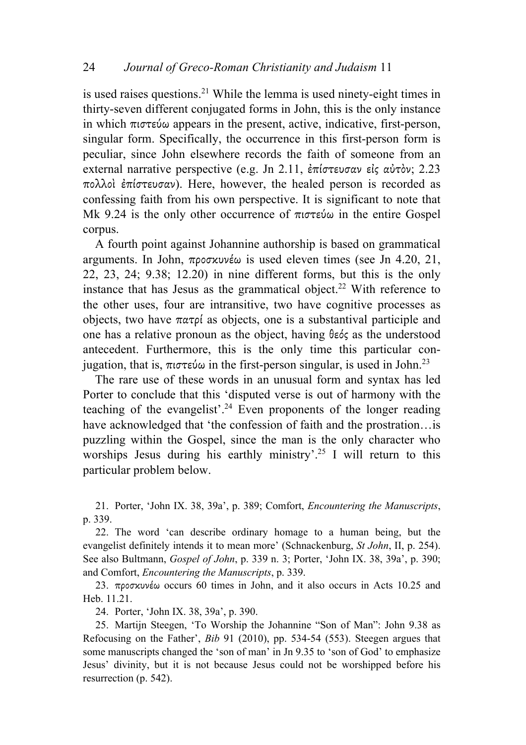is used raises questions. <sup>21</sup> While the lemma is used ninety-eight times in thirty-seven different conjugated forms in John, this is the only instance in which πιστεύω appears in the present, active, indicative, first-person, singular form. Specifically, the occurrence in this first-person form is peculiar, since John elsewhere records the faith of someone from an external narrative perspective (e.g. Jn 2.11, ἐπίστευσαν εἰς αὐτὸν; 2.23 πολλοὶ ἐπίστευσαν). Here, however, the healed person is recorded as confessing faith from his own perspective. It is significant to note that Mk 9.24 is the only other occurrence of πιστεύω in the entire Gospel corpus.

A fourth point against Johannine authorship is based on grammatical arguments. In John, προσκυνέω is used eleven times (see Jn 4.20, 21, 22, 23, 24; 9.38; 12.20) in nine different forms, but this is the only instance that has Jesus as the grammatical object.<sup>22</sup> With reference to the other uses, four are intransitive, two have cognitive processes as objects, two have πατρί as objects, one is a substantival participle and one has a relative pronoun as the object, having θεός as the understood antecedent. Furthermore, this is the only time this particular conjugation, that is, πιστεύω in the first-person singular, is used in John.<sup>23</sup>

The rare use of these words in an unusual form and syntax has led Porter to conclude that this 'disputed verse is out of harmony with the teaching of the evangelist'.<sup>24</sup> Even proponents of the longer reading have acknowledged that 'the confession of faith and the prostration... is puzzling within the Gospel, since the man is the only character who worships Jesus during his earthly ministry'.<sup>25</sup> I will return to this particular problem below.

21. Porter, 'John IX. 38, 39a', p. 389; Comfort, *Encountering the Manuscripts*, p. 339.

22. The word 'can describe ordinary homage to a human being, but the evangelist definitely intends it to mean more' (Schnackenburg, *St John*, II, p. 254). See also Bultmann, *Gospel of John*, p. 339 n. 3; Porter, 'John IX. 38, 39a', p. 390; and Comfort, *Encountering the Manuscripts*, p. 339.

23. προσκυνέω occurs 60 times in John, and it also occurs in Acts 10.25 and Heb. 11.21.

24. Porter, 'John IX. 38, 39a', p. 390.

25. Martijn Steegen, 'To Worship the Johannine "Son of Man": John 9.38 as Refocusing on the Father', *Bib* 91 (2010), pp. 534-54 (553). Steegen argues that some manuscripts changed the 'son of man' in Jn 9.35 to 'son of God' to emphasize Jesus' divinity, but it is not because Jesus could not be worshipped before his resurrection (p. 542).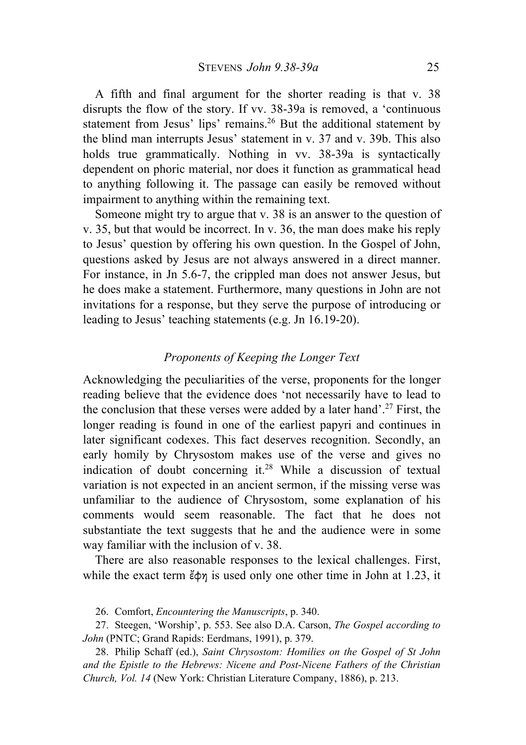A fifth and final argument for the shorter reading is that v. 38 disrupts the flow of the story. If vv. 38-39a is removed, a 'continuous statement from Jesus' lips' remains.<sup>26</sup> But the additional statement by the blind man interrupts Jesus' statement in v. 37 and v. 39b. This also holds true grammatically. Nothing in vv. 38-39a is syntactically dependent on phoric material, nor does it function as grammatical head to anything following it. The passage can easily be removed without impairment to anything within the remaining text.

Someone might try to argue that v. 38 is an answer to the question of v. 35, but that would be incorrect. In v. 36, the man does make his reply to Jesus' question by offering his own question. In the Gospel of John, questions asked by Jesus are not always answered in a direct manner. For instance, in Jn 5.6-7, the crippled man does not answer Jesus, but he does make a statement. Furthermore, many questions in John are not invitations for a response, but they serve the purpose of introducing or leading to Jesus' teaching statements (e.g. Jn 16.19-20).

## *Proponents of Keeping the Longer Text*

Acknowledging the peculiarities of the verse, proponents for the longer reading believe that the evidence does 'not necessarily have to lead to the conclusion that these verses were added by a later hand'.<sup>27</sup> First, the longer reading is found in one of the earliest papyri and continues in later significant codexes. This fact deserves recognition. Secondly, an early homily by Chrysostom makes use of the verse and gives no indication of doubt concerning it. <sup>28</sup> While a discussion of textual variation is not expected in an ancient sermon, if the missing verse was unfamiliar to the audience of Chrysostom, some explanation of his comments would seem reasonable. The fact that he does not substantiate the text suggests that he and the audience were in some way familiar with the inclusion of v. 38.

There are also reasonable responses to the lexical challenges. First, while the exact term  $\zeta \phi \eta$  is used only one other time in John at 1.23, it

26. Comfort, *Encountering the Manuscripts*, p. 340.

27. Steegen, 'Worship', p. 553. See also D.A. Carson, *The Gospel according to John* (PNTC; Grand Rapids: Eerdmans, 1991), p. 379.

28. Philip Schaff (ed.), *Saint Chrysostom: Homilies on the Gospel of St John and the Epistle to the Hebrews: Nicene and Post-Nicene Fathers of the Christian Church, Vol. 14* (New York: Christian Literature Company, 1886), p. 213.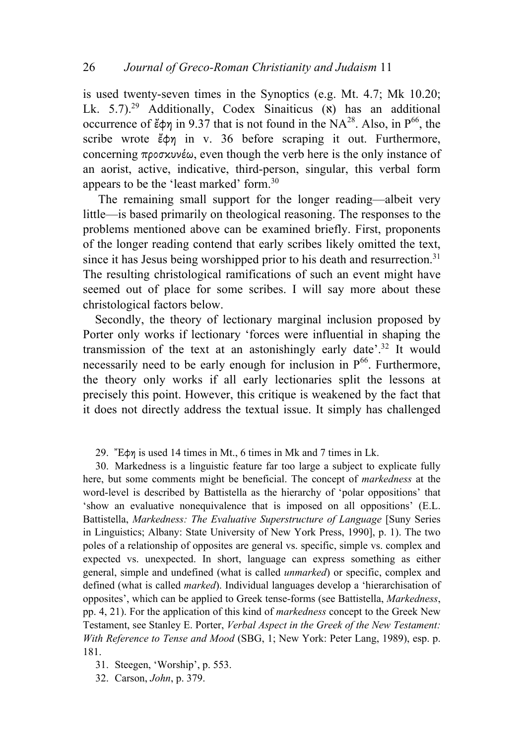is used twenty-seven times in the Synoptics (e.g. Mt. 4.7; Mk 10.20; Lk.  $5.7$ ).<sup>29</sup> Additionally, Codex Sinaiticus ( $\theta$ ) has an additional occurrence of  $\ell$ φη in 9.37 that is not found in the NA<sup>28</sup>. Also, in P<sup>66</sup>, the scribe wrote *ἔ*φη in v. 36 before scraping it out. Furthermore, concerning προσκυνέω, even though the verb here is the only instance of an aorist, active, indicative, third-person, singular, this verbal form appears to be the 'least marked' form.30

The remaining small support for the longer reading—albeit very little—is based primarily on theological reasoning. The responses to the problems mentioned above can be examined briefly. First, proponents of the longer reading contend that early scribes likely omitted the text, since it has Jesus being worshipped prior to his death and resurrection.<sup>31</sup> The resulting christological ramifications of such an event might have seemed out of place for some scribes. I will say more about these christological factors below.

Secondly, the theory of lectionary marginal inclusion proposed by Porter only works if lectionary 'forces were influential in shaping the transmission of the text at an astonishingly early date'.<sup>32</sup> It would necessarily need to be early enough for inclusion in  $P^{66}$ . Furthermore, the theory only works if all early lectionaries split the lessons at precisely this point. However, this critique is weakened by the fact that it does not directly address the textual issue. It simply has challenged

29. Ἔφη is used 14 times in Mt., 6 times in Mk and 7 times in Lk.

30. Markedness is a linguistic feature far too large a subject to explicate fully here, but some comments might be beneficial. The concept of *markedness* at the word-level is described by Battistella as the hierarchy of 'polar oppositions' that 'show an evaluative nonequivalence that is imposed on all oppositions' (E.L. Battistella, *Markedness: The Evaluative Superstructure of Language* [Suny Series in Linguistics; Albany: State University of New York Press, 1990], p. 1). The two poles of a relationship of opposites are general vs. specific, simple vs. complex and expected vs. unexpected. In short, language can express something as either general, simple and undefined (what is called *unmarked*) or specific, complex and defined (what is called *marked*). Individual languages develop a 'hierarchisation of opposites', which can be applied to Greek tense-forms (see Battistella, *Markedness*, pp. 4, 21). For the application of this kind of *markedness* concept to the Greek New Testament, see Stanley E. Porter, *Verbal Aspect in the Greek of the New Testament: With Reference to Tense and Mood* (SBG, 1; New York: Peter Lang, 1989), esp. p. 181.

31. Steegen, 'Worship', p. 553.

32. Carson, *John*, p. 379.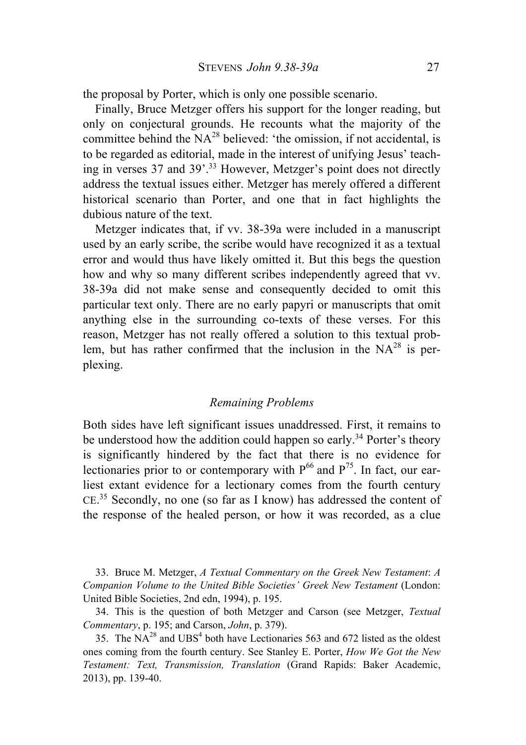the proposal by Porter, which is only one possible scenario.

Finally, Bruce Metzger offers his support for the longer reading, but only on conjectural grounds. He recounts what the majority of the committee behind the  $NA^{28}$  believed: 'the omission, if not accidental, is to be regarded as editorial, made in the interest of unifying Jesus' teaching in verses 37 and 39'.33 However, Metzger's point does not directly address the textual issues either. Metzger has merely offered a different historical scenario than Porter, and one that in fact highlights the dubious nature of the text.

Metzger indicates that, if vv. 38-39a were included in a manuscript used by an early scribe, the scribe would have recognized it as a textual error and would thus have likely omitted it. But this begs the question how and why so many different scribes independently agreed that vv. 38-39a did not make sense and consequently decided to omit this particular text only. There are no early papyri or manuscripts that omit anything else in the surrounding co-texts of these verses. For this reason, Metzger has not really offered a solution to this textual problem, but has rather confirmed that the inclusion in the  $NA^{28}$  is perplexing.

#### *Remaining Problems*

Both sides have left significant issues unaddressed. First, it remains to be understood how the addition could happen so early.<sup>34</sup> Porter's theory is significantly hindered by the fact that there is no evidence for lectionaries prior to or contemporary with  $P^{66}$  and  $P^{75}$ . In fact, our earliest extant evidence for a lectionary comes from the fourth century CE. <sup>35</sup> Secondly, no one (so far as I know) has addressed the content of the response of the healed person, or how it was recorded, as a clue

33. Bruce M. Metzger, *A Textual Commentary on the Greek New Testament*: *A Companion Volume to the United Bible Societies' Greek New Testament* (London: United Bible Societies, 2nd edn, 1994), p. 195.

34. This is the question of both Metzger and Carson (see Metzger, *Textual Commentary*, p. 195; and Carson, *John*, p. 379).

35. The  $NA^{28}$  and  $UBS<sup>4</sup>$  both have Lectionaries 563 and 672 listed as the oldest ones coming from the fourth century. See Stanley E. Porter, *How We Got the New Testament: Text, Transmission, Translation* (Grand Rapids: Baker Academic, 2013), pp. 139-40.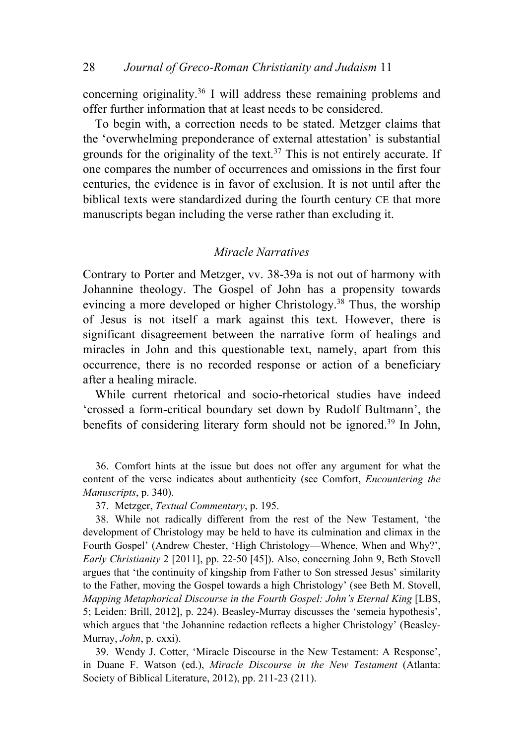concerning originality.36 I will address these remaining problems and offer further information that at least needs to be considered.

To begin with, a correction needs to be stated. Metzger claims that the 'overwhelming preponderance of external attestation' is substantial grounds for the originality of the text.<sup>37</sup> This is not entirely accurate. If one compares the number of occurrences and omissions in the first four centuries, the evidence is in favor of exclusion. It is not until after the biblical texts were standardized during the fourth century CE that more manuscripts began including the verse rather than excluding it.

## *Miracle Narratives*

Contrary to Porter and Metzger, vv. 38-39a is not out of harmony with Johannine theology. The Gospel of John has a propensity towards evincing a more developed or higher Christology.<sup>38</sup> Thus, the worship of Jesus is not itself a mark against this text. However, there is significant disagreement between the narrative form of healings and miracles in John and this questionable text, namely, apart from this occurrence, there is no recorded response or action of a beneficiary after a healing miracle.

While current rhetorical and socio-rhetorical studies have indeed 'crossed a form-critical boundary set down by Rudolf Bultmann', the benefits of considering literary form should not be ignored.<sup>39</sup> In John,

36. Comfort hints at the issue but does not offer any argument for what the content of the verse indicates about authenticity (see Comfort, *Encountering the Manuscripts*, p. 340).

37. Metzger, *Textual Commentary*, p. 195.

38. While not radically different from the rest of the New Testament, 'the development of Christology may be held to have its culmination and climax in the Fourth Gospel' (Andrew Chester, 'High Christology––Whence, When and Why?', *Early Christianity* 2 [2011], pp. 22-50 [45]). Also, concerning John 9, Beth Stovell argues that 'the continuity of kingship from Father to Son stressed Jesus' similarity to the Father, moving the Gospel towards a high Christology' (see Beth M. Stovell, *Mapping Metaphorical Discourse in the Fourth Gospel: John's Eternal King* [LBS, 5; Leiden: Brill, 2012], p. 224). Beasley-Murray discusses the 'semeia hypothesis', which argues that 'the Johannine redaction reflects a higher Christology' (Beasley-Murray, *John*, p. cxxi).

39. Wendy J. Cotter, 'Miracle Discourse in the New Testament: A Response', in Duane F. Watson (ed.), *Miracle Discourse in the New Testament* (Atlanta: Society of Biblical Literature, 2012), pp. 211-23 (211).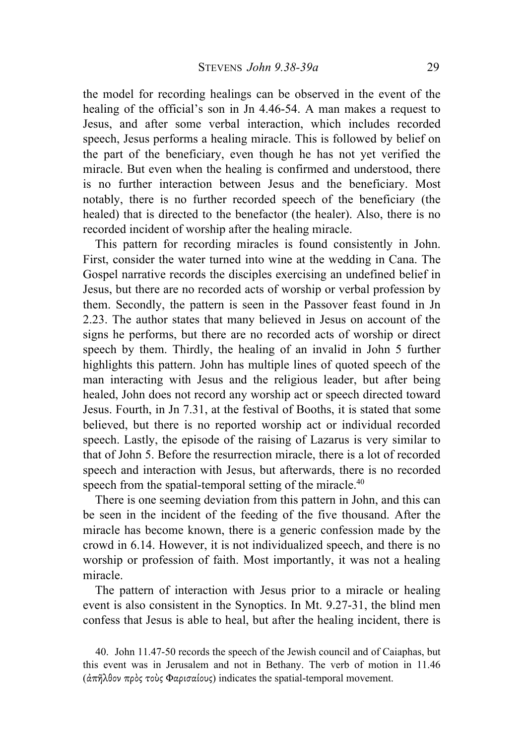the model for recording healings can be observed in the event of the healing of the official's son in Jn 4.46-54. A man makes a request to Jesus, and after some verbal interaction, which includes recorded speech, Jesus performs a healing miracle. This is followed by belief on the part of the beneficiary, even though he has not yet verified the miracle. But even when the healing is confirmed and understood, there is no further interaction between Jesus and the beneficiary. Most notably, there is no further recorded speech of the beneficiary (the healed) that is directed to the benefactor (the healer). Also, there is no recorded incident of worship after the healing miracle.

This pattern for recording miracles is found consistently in John. First, consider the water turned into wine at the wedding in Cana. The Gospel narrative records the disciples exercising an undefined belief in Jesus, but there are no recorded acts of worship or verbal profession by them. Secondly, the pattern is seen in the Passover feast found in Jn 2.23. The author states that many believed in Jesus on account of the signs he performs, but there are no recorded acts of worship or direct speech by them. Thirdly, the healing of an invalid in John 5 further highlights this pattern. John has multiple lines of quoted speech of the man interacting with Jesus and the religious leader, but after being healed, John does not record any worship act or speech directed toward Jesus. Fourth, in Jn 7.31, at the festival of Booths, it is stated that some believed, but there is no reported worship act or individual recorded speech. Lastly, the episode of the raising of Lazarus is very similar to that of John 5. Before the resurrection miracle, there is a lot of recorded speech and interaction with Jesus, but afterwards, there is no recorded speech from the spatial-temporal setting of the miracle.<sup>40</sup>

There is one seeming deviation from this pattern in John, and this can be seen in the incident of the feeding of the five thousand. After the miracle has become known, there is a generic confession made by the crowd in 6.14. However, it is not individualized speech, and there is no worship or profession of faith. Most importantly, it was not a healing miracle.

The pattern of interaction with Jesus prior to a miracle or healing event is also consistent in the Synoptics. In Mt. 9.27-31, the blind men confess that Jesus is able to heal, but after the healing incident, there is

40. John 11.47-50 records the speech of the Jewish council and of Caiaphas, but this event was in Jerusalem and not in Bethany. The verb of motion in 11.46 (ἀπῆλθον πρὸς τοὺς Φαρισαίους) indicates the spatial-temporal movement.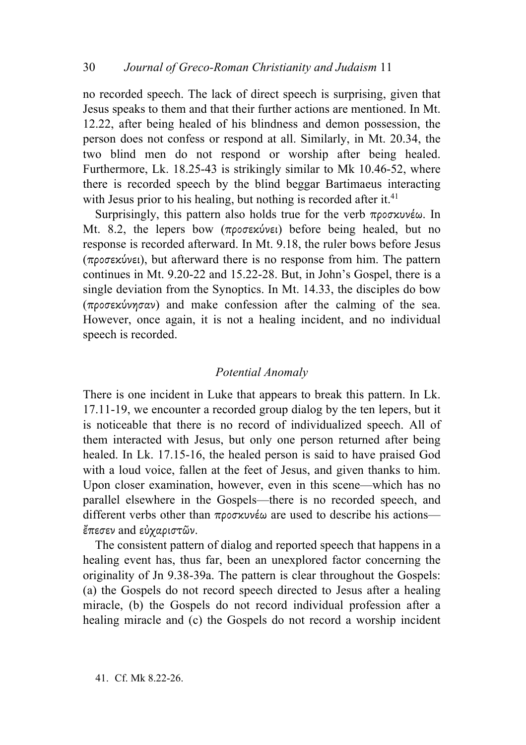no recorded speech. The lack of direct speech is surprising, given that Jesus speaks to them and that their further actions are mentioned. In Mt. 12.22, after being healed of his blindness and demon possession, the person does not confess or respond at all. Similarly, in Mt. 20.34, the two blind men do not respond or worship after being healed. Furthermore, Lk. 18.25-43 is strikingly similar to Mk 10.46-52, where there is recorded speech by the blind beggar Bartimaeus interacting with Jesus prior to his healing, but nothing is recorded after it.<sup>41</sup>

Surprisingly, this pattern also holds true for the verb προσκυνέω. In Mt. 8.2, the lepers bow (προσεκύνει) before being healed, but no response is recorded afterward. In Mt. 9.18, the ruler bows before Jesus (προσεκύνει), but afterward there is no response from him. The pattern continues in Mt. 9.20-22 and 15.22-28. But, in John's Gospel, there is a single deviation from the Synoptics. In Mt. 14.33, the disciples do bow (προσεκύνησαν) and make confession after the calming of the sea. However, once again, it is not a healing incident, and no individual speech is recorded.

# *Potential Anomaly*

There is one incident in Luke that appears to break this pattern. In Lk. 17.11-19, we encounter a recorded group dialog by the ten lepers, but it is noticeable that there is no record of individualized speech. All of them interacted with Jesus, but only one person returned after being healed. In Lk. 17.15-16, the healed person is said to have praised God with a loud voice, fallen at the feet of Jesus, and given thanks to him. Upon closer examination, however, even in this scene—which has no parallel elsewhere in the Gospels—there is no recorded speech, and different verbs other than  $\pi \rho \circ \sigma \times \nu \circ \omega$  are used to describe his actions ἔπεσεν and εὐχαριστῶν.

The consistent pattern of dialog and reported speech that happens in a healing event has, thus far, been an unexplored factor concerning the originality of Jn 9.38-39a. The pattern is clear throughout the Gospels: (a) the Gospels do not record speech directed to Jesus after a healing miracle, (b) the Gospels do not record individual profession after a healing miracle and (c) the Gospels do not record a worship incident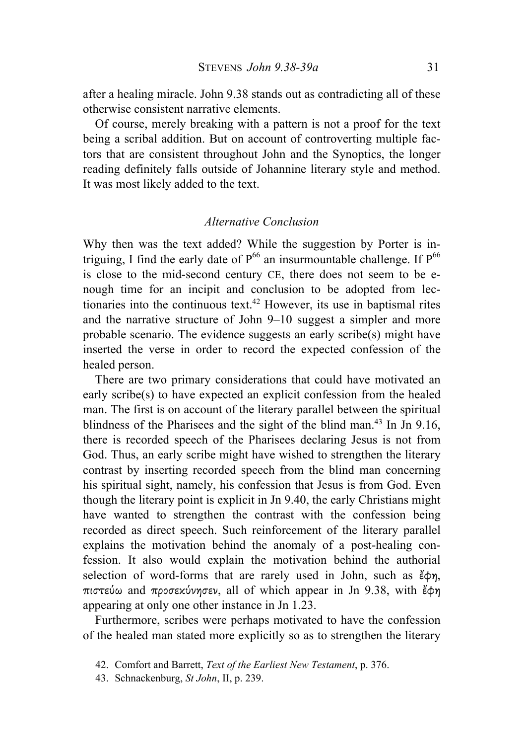after a healing miracle. John 9.38 stands out as contradicting all of these otherwise consistent narrative elements.

Of course, merely breaking with a pattern is not a proof for the text being a scribal addition. But on account of controverting multiple factors that are consistent throughout John and the Synoptics, the longer reading definitely falls outside of Johannine literary style and method. It was most likely added to the text.

## *Alternative Conclusion*

Why then was the text added? While the suggestion by Porter is intriguing, I find the early date of  $P^{66}$  an insurmountable challenge. If  $P^{66}$ is close to the mid-second century CE, there does not seem to be enough time for an incipit and conclusion to be adopted from lectionaries into the continuous text.<sup>42</sup> However, its use in baptismal rites and the narrative structure of John 9–10 suggest a simpler and more probable scenario. The evidence suggests an early scribe(s) might have inserted the verse in order to record the expected confession of the healed person.

There are two primary considerations that could have motivated an early scribe(s) to have expected an explicit confession from the healed man. The first is on account of the literary parallel between the spiritual blindness of the Pharisees and the sight of the blind man.<sup>43</sup> In Jn 9.16, there is recorded speech of the Pharisees declaring Jesus is not from God. Thus, an early scribe might have wished to strengthen the literary contrast by inserting recorded speech from the blind man concerning his spiritual sight, namely, his confession that Jesus is from God. Even though the literary point is explicit in Jn 9.40, the early Christians might have wanted to strengthen the contrast with the confession being recorded as direct speech. Such reinforcement of the literary parallel explains the motivation behind the anomaly of a post-healing confession. It also would explain the motivation behind the authorial selection of word-forms that are rarely used in John, such as  $\ddot{\epsilon} \phi \eta$ , πιστεύω and προσεκύνησεν, all of which appear in Jn 9.38, with ἔφη appearing at only one other instance in Jn 1.23.

Furthermore, scribes were perhaps motivated to have the confession of the healed man stated more explicitly so as to strengthen the literary

<sup>42.</sup> Comfort and Barrett, *Text of the Earliest New Testament*, p. 376.

<sup>43.</sup> Schnackenburg, *St John*, II, p. 239.